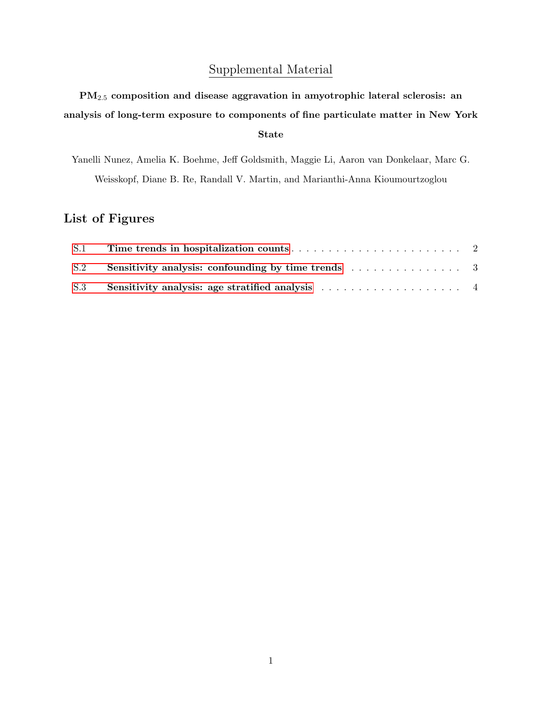## Supplemental Material

PM2.<sup>5</sup> composition and disease aggravation in amyotrophic lateral sclerosis: an analysis of long-term exposure to components of fine particulate matter in New York State

Yanelli Nunez, Amelia K. Boehme, Jeff Goldsmith, Maggie Li, Aaron van Donkelaar, Marc G. Weisskopf, Diane B. Re, Randall V. Martin, and Marianthi-Anna Kioumourtzoglou

## List of Figures

| S.1 |  |
|-----|--|
|     |  |
|     |  |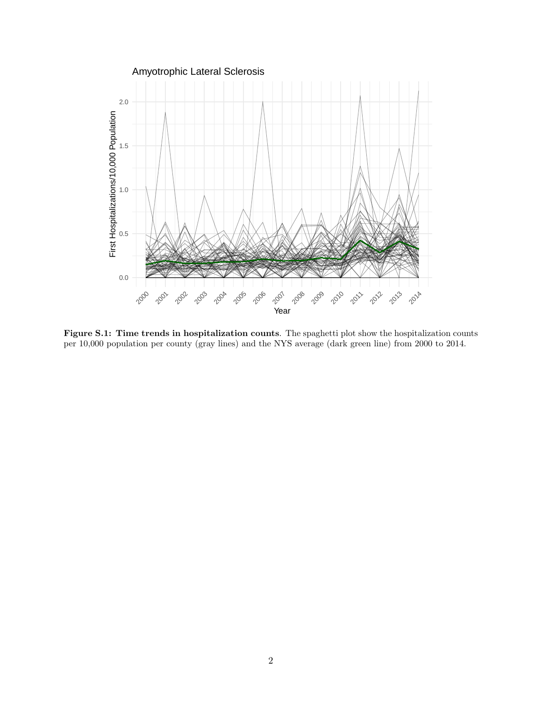<span id="page-1-0"></span>

Figure S.1: Time trends in hospitalization counts. The spaghetti plot show the hospitalization counts per 10,000 population per county (gray lines) and the NYS average (dark green line) from 2000 to 2014.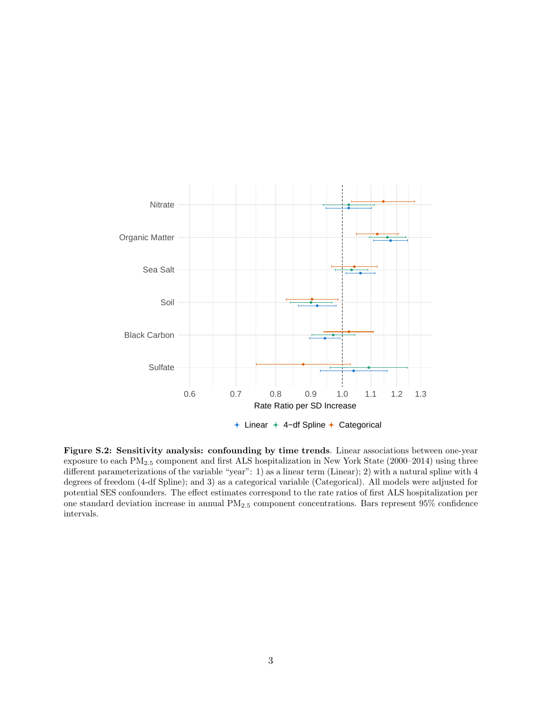<span id="page-2-0"></span>

Figure S.2: Sensitivity analysis: confounding by time trends. Linear associations between one-year exposure to each PM2.<sup>5</sup> component and first ALS hospitalization in New York State (2000–2014) using three different parameterizations of the variable "year": 1) as a linear term (Linear); 2) with a natural spline with 4 degrees of freedom (4-df Spline); and 3) as a categorical variable (Categorical). All models were adjusted for potential SES confounders. The effect estimates correspond to the rate ratios of first ALS hospitalization per one standard deviation increase in annual PM2.<sup>5</sup> component concentrations. Bars represent 95% confidence intervals.